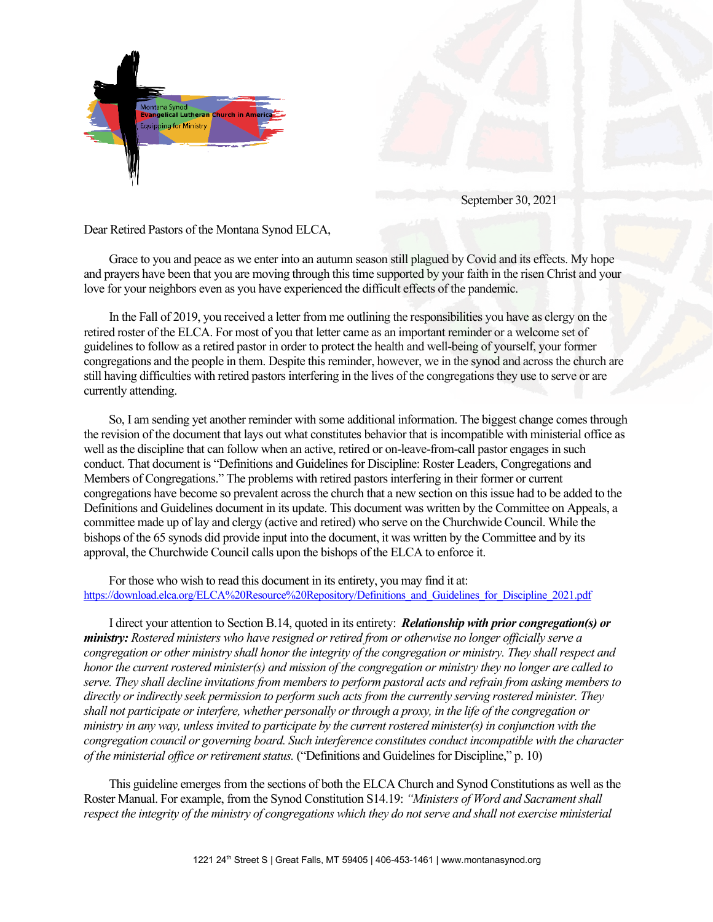



September 30, 2021

Dear Retired Pastors of the Montana Synod ELCA,

Grace to you and peace as we enter into an autumn season still plagued by Covid and its effects. My hope and prayers have been that you are moving through this time supported by your faith in the risen Christ and your love for your neighbors even as you have experienced the difficult effects of the pandemic.

In the Fall of 2019, you received a letter from me outlining the responsibilities you have as clergy on the retired roster of the ELCA. For most of you that letter came as an important reminder or a welcome set of guidelines to follow as a retired pastor in order to protect the health and well-being of yourself, your former congregations and the people in them. Despite this reminder, however, we in the synod and across the church are still having difficulties with retired pastors interfering in the lives of the congregations they use to serve or are currently attending.

So, I am sending yet another reminder with some additional information. The biggest change comes through the revision of the document that lays out what constitutes behavior that is incompatible with ministerial office as well as the discipline that can follow when an active, retired or on-leave-from-call pastor engages in such conduct. That document is "Definitions and Guidelines for Discipline: Roster Leaders, Congregations and Members of Congregations." The problems with retired pastors interfering in their former or current congregations have become so prevalent across the church that a new section on this issue had to be added to the Definitions and Guidelines document in its update. This document was written by the Committee on Appeals, a committee made up of lay and clergy (active and retired) who serve on the Churchwide Council. While the bishops of the 65 synods did provide input into the document, it was written by the Committee and by its approval, the Churchwide Council calls upon the bishops of the ELCA to enforce it.

For those who wish to read this document in its entirety, you may find it at: [https://download.elca.org/ELCA%20Resource%20Repository/Definitions\\_and\\_Guidelines\\_for\\_Discipline\\_2021.pdf](https://download.elca.org/ELCA%20Resource%20Repository/Definitions_and_Guidelines_for_Discipline_2021.pdf)

I direct your attention to Section B.14, quoted in its entirety: *Relationship with prior congregation(s) or ministry: Rostered ministers who have resigned or retired from or otherwise no longer officially serve a congregation or other ministry shall honor the integrity of the congregation or ministry. They shall respect and honor the current rostered minister(s) and mission of the congregation or ministry they no longer are called to serve. They shall decline invitations from members to perform pastoral acts and refrain from asking members to directly or indirectly seek permission to perform such acts from the currently serving rostered minister. They shall not participate or interfere, whether personally or through a proxy, in the life of the congregation or ministry in any way, unless invited to participate by the current rostered minister(s) in conjunction with the congregation council or governing board. Such interference constitutes conduct incompatible with the character of the ministerial office or retirement status.* ("Definitions and Guidelines for Discipline," p. 10)

This guideline emerges from the sections of both the ELCA Church and Synod Constitutions as well as the Roster Manual. For example, from the Synod Constitution S14.19: *"Ministers of Word and Sacrament shall respect the integrity of the ministry of congregations which they do not serve and shall not exercise ministerial*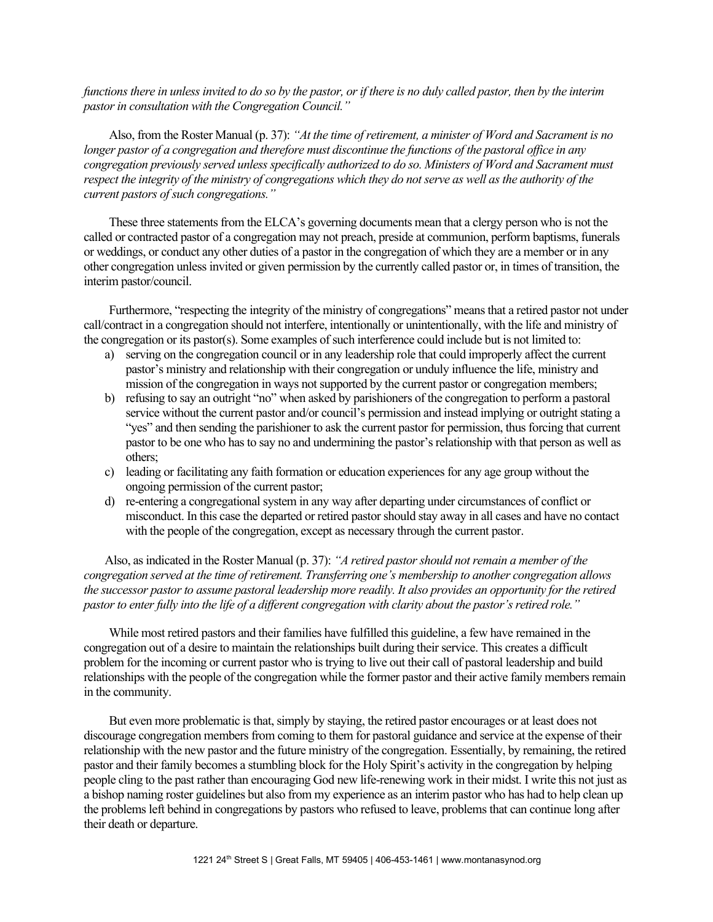*functions there in unless invited to do so by the pastor, or if there is no duly called pastor, then by the interim pastor in consultation with the Congregation Council."*

Also, from the Roster Manual (p. 37): *"At the time of retirement, a minister of Word and Sacrament is no longer pastor of a congregation and therefore must discontinue the functions of the pastoral office in any congregation previously served unless specifically authorized to do so. Ministers of Word and Sacrament must respect the integrity of the ministry of congregations which they do not serve as well as the authority of the current pastors of such congregations."*

These three statements from the ELCA's governing documents mean that a clergy person who is not the called or contracted pastor of a congregation may not preach, preside at communion, perform baptisms, funerals or weddings, or conduct any other duties of a pastor in the congregation of which they are a member or in any other congregation unless invited or given permission by the currently called pastor or, in times of transition, the interim pastor/council.

Furthermore, "respecting the integrity of the ministry of congregations" means that a retired pastor not under call/contract in a congregation should not interfere, intentionally or unintentionally, with the life and ministry of the congregation or its pastor(s). Some examples of such interference could include but is not limited to:

- a) serving on the congregation council or in any leadership role that could improperly affect the current pastor's ministry and relationship with their congregation or unduly influence the life, ministry and mission of the congregation in ways not supported by the current pastor or congregation members;
- b) refusing to say an outright "no" when asked by parishioners of the congregation to perform a pastoral service without the current pastor and/or council's permission and instead implying or outright stating a "yes" and then sending the parishioner to ask the current pastor for permission, thus forcing that current pastor to be one who has to say no and undermining the pastor's relationship with that person as well as others;
- c) leading or facilitating any faith formation or education experiences for any age group without the ongoing permission of the current pastor;
- d) re-entering a congregational system in any way after departing under circumstances of conflict or misconduct. In this case the departed or retired pastor should stay away in all cases and have no contact with the people of the congregation, except as necessary through the current pastor.

Also, as indicated in the Roster Manual (p. 37): *"A retired pastor should not remain a member of the congregation served at the time of retirement. Transferring one's membership to another congregation allows the successor pastor to assume pastoral leadership more readily. It also provides an opportunity for the retired pastor to enter fully into the life of a different congregation with clarity about the pastor's retired role."*

While most retired pastors and their families have fulfilled this guideline, a few have remained in the congregation out of a desire to maintain the relationships built during their service. This creates a difficult problem for the incoming or current pastor who is trying to live out their call of pastoral leadership and build relationships with the people of the congregation while the former pastor and their active family members remain in the community.

But even more problematic is that, simply by staying, the retired pastor encourages or at least does not discourage congregation members from coming to them for pastoral guidance and service at the expense of their relationship with the new pastor and the future ministry of the congregation. Essentially, by remaining, the retired pastor and their family becomes a stumbling block for the Holy Spirit's activity in the congregation by helping people cling to the past rather than encouraging God new life-renewing work in their midst. I write this not just as a bishop naming roster guidelines but also from my experience as an interim pastor who has had to help clean up the problems left behind in congregations by pastors who refused to leave, problems that can continue long after their death or departure.